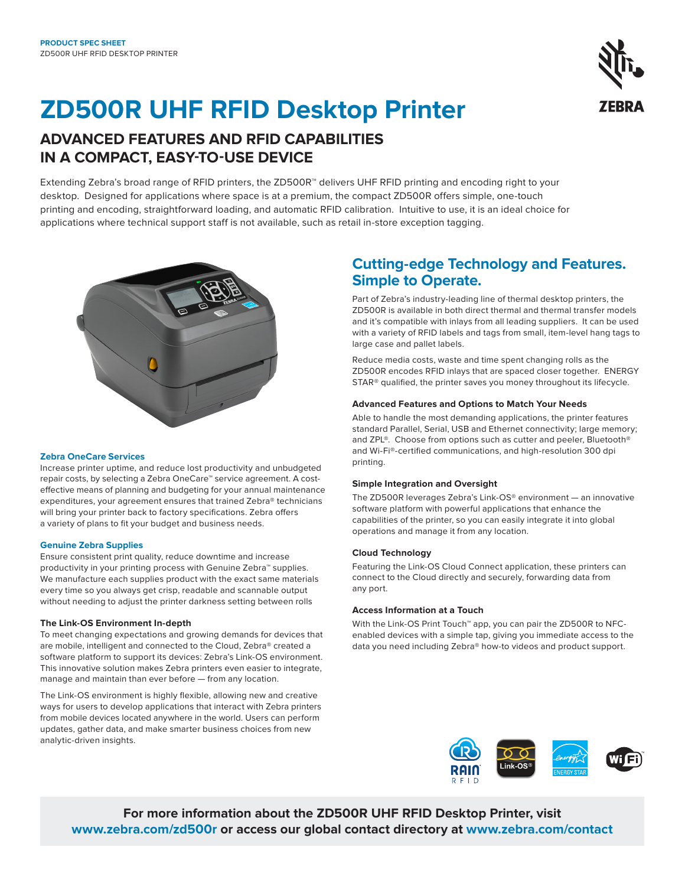# **ZD500R UHF RFID Desktop Printer**

## **ADVANCED FEATURES AND RFID CAPABILITIES IN A COMPACT, EASY-TO-USE DEVICE**

Extending Zebra's broad range of RFID printers, the ZD500R™ delivers UHF RFID printing and encoding right to your desktop. Designed for applications where space is at a premium, the compact ZD500R offers simple, one-touch printing and encoding, straightforward loading, and automatic RFID calibration. Intuitive to use, it is an ideal choice for applications where technical support staff is not available, such as retail in-store exception tagging.



#### **Zebra OneCare Services**

Increase printer uptime, and reduce lost productivity and unbudgeted repair costs, by selecting a Zebra OneCare™ service agreement. A costeffective means of planning and budgeting for your annual maintenance expenditures, your agreement ensures that trained Zebra® technicians will bring your printer back to factory specifications. Zebra offers a variety of plans to fit your budget and business needs.

#### **Genuine Zebra Supplies**

Ensure consistent print quality, reduce downtime and increase productivity in your printing process with Genuine Zebra™ supplies. We manufacture each supplies product with the exact same materials every time so you always get crisp, readable and scannable output without needing to adjust the printer darkness setting between rolls

#### **The Link-OS Environment In-depth**

To meet changing expectations and growing demands for devices that are mobile, intelligent and connected to the Cloud, Zebra® created a software platform to support its devices: Zebra's Link-OS environment. This innovative solution makes Zebra printers even easier to integrate, manage and maintain than ever before — from any location.

The Link-OS environment is highly flexible, allowing new and creative ways for users to develop applications that interact with Zebra printers from mobile devices located anywhere in the world. Users can perform updates, gather data, and make smarter business choices from new analytic-driven insights.

### **Cutting-edge Technology and Features. Simple to Operate.**

Part of Zebra's industry-leading line of thermal desktop printers, the ZD500R is available in both direct thermal and thermal transfer models and it's compatible with inlays from all leading suppliers. It can be used with a variety of RFID labels and tags from small, item-level hang tags to large case and pallet labels.

Reduce media costs, waste and time spent changing rolls as the ZD500R encodes RFID inlays that are spaced closer together. ENERGY STAR® qualified, the printer saves you money throughout its lifecycle.

#### **Advanced Features and Options to Match Your Needs**

Able to handle the most demanding applications, the printer features standard Parallel, Serial, USB and Ethernet connectivity; large memory; and ZPL®. Choose from options such as cutter and peeler, Bluetooth® and Wi-Fi®-certified communications, and high-resolution 300 dpi printing.

#### **Simple Integration and Oversight**

The ZD500R leverages Zebra's Link-OS® environment — an innovative software platform with powerful applications that enhance the capabilities of the printer, so you can easily integrate it into global operations and manage it from any location.

#### **Cloud Technology**

Featuring the Link-OS Cloud Connect application, these printers can connect to the Cloud directly and securely, forwarding data from any port.

#### **Access Information at a Touch**

With the Link-OS Print Touch<sup>™</sup> app, you can pair the ZD500R to NFCenabled devices with a simple tap, giving you immediate access to the data you need including Zebra® how-to videos and product support.



**For more information about the ZD500R UHF RFID Desktop Printer, visit [www.zebra.com/zd500r](https://www.zebra.com/us/en/products/printers/rfid/zd500r.html) or access our global contact directory at [www.zebra.com/contact](http://www.zebra.com/contact)**

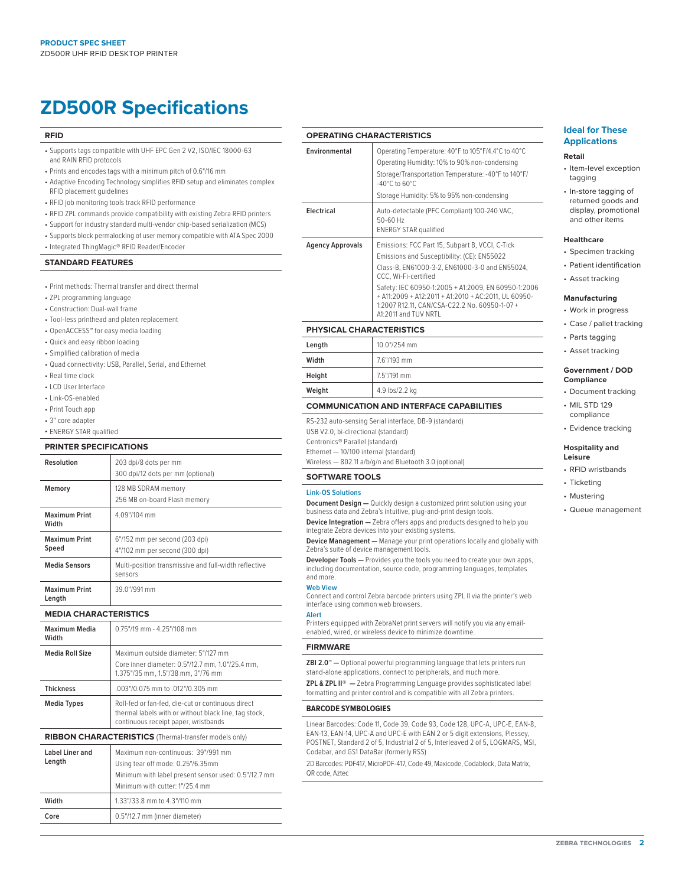## **ZD500R Specifications**

#### **RFID**

- Supports tags compatible with UHF EPC Gen 2 V2, ISO/IEC 18000-63 and RAIN RFID protocols
- Prints and encodes tags with a minimum pitch of 0.6"/16 mm
- Adaptive Encoding Technology simplifies RFID setup and eliminates complex RFID placement guidelines
- RFID job monitoring tools track RFID performance
- RFID ZPL commands provide compatibility with existing Zebra RFID printers
- Support for industry standard multi-vendor chip-based serialization (MCS)
- Supports block permalocking of user memory compatible with ATA Spec 2000
- Integrated ThingMagic® RFID Reader/Encoder

#### **STANDARD FEATURES**

- Print methods: Thermal transfer and direct thermal
- ZPL programming language
- Construction: Dual-wall frame
- Tool-less printhead and platen replacement
- OpenACCESS™ for easy media loading
- Quick and easy ribbon loading
- Simplified calibration of media
- Quad connectivity: USB, Parallel, Serial, and Ethernet
- Real time clock
- LCD User Interface
- Link-OS-enabled
- Print Touch app
- 3" core adapter
- ENERGY STAR qualified

#### **PRINTER SPECIFICATIONS**

| 203 dpi/8 dots per mm<br>300 dpi/12 dots per mm (optional)       |
|------------------------------------------------------------------|
| 128 MB SDRAM memory<br>256 MB on-board Flash memory              |
| 4.09"/104 mm                                                     |
| 6"/152 mm per second (203 dpi)<br>4"/102 mm per second (300 dpi) |
| Multi-position transmissive and full-width reflective<br>sensors |
| 39.0"/991 mm                                                     |
|                                                                  |

#### **MEDIA CHARACTERISTICS**

| Maximum Media<br>Width    | $0.75$ "/19 mm - 4.25"/108 mm                                                                                                                                      |
|---------------------------|--------------------------------------------------------------------------------------------------------------------------------------------------------------------|
| <b>Media Roll Size</b>    | Maximum outside diameter: 5"/127 mm<br>Core inner diameter: 0.5"/12.7 mm, 1.0"/25.4 mm,<br>1.375"/35 mm, 1.5"/38 mm, 3"/76 mm                                      |
| <b>Thickness</b>          | .003"/0.075 mm to .012"/0.305 mm                                                                                                                                   |
| <b>Media Types</b>        | Roll-fed or fan-fed, die-cut or continuous direct<br>thermal labels with or without black line, tag stock,<br>continuous receipt paper, wristbands                 |
|                           | <b>RIBBON CHARACTERISTICS</b> (Thermal-transfer models only)                                                                                                       |
| Label Liner and<br>Length | Maximum non-continuous: 39"/991 mm<br>Using tear off mode: 0.25"/6.35mm<br>Minimum with label present sensor used: 0.5"/12.7 mm<br>Minimum with cutter: 1"/25.4 mm |
| Width                     | 1.33"/33.8 mm to 4.3"/110 mm                                                                                                                                       |
| Core                      | 0.5"/12.7 mm (inner diameter)                                                                                                                                      |

#### **OPERATING CHARACTERISTICS**

| Environmental                   | Operating Temperature: 40°F to 105°F/4.4°C to 40°C<br>Operating Humidity: 10% to 90% non-condensing<br>Storage/Transportation Temperature: -40°F to 140°F/<br>$-40^{\circ}$ C to 60 $^{\circ}$ C<br>Storage Humidity: 5% to 95% non-condensing                                                                                                                   |
|---------------------------------|------------------------------------------------------------------------------------------------------------------------------------------------------------------------------------------------------------------------------------------------------------------------------------------------------------------------------------------------------------------|
| Electrical                      | Auto-detectable (PFC Compliant) 100-240 VAC,<br>$50 - 60$ Hz<br><b>ENERGY STAR qualified</b>                                                                                                                                                                                                                                                                     |
| Agency Approvals                | Emissions: FCC Part 15, Subpart B, VCCI, C-Tick<br>Emissions and Susceptibility: (CE): EN55022<br>Class-B, EN61000-3-2, EN61000-3-0 and EN55024,<br>CCC. Wi-Fi-certified<br>Safety: IEC 60950-1:2005 + A1:2009, EN 60950-1:2006<br>+ A11:2009 + A12:2011 + A1:2010 + AC:2011, UL 60950-<br>1:2007 R12.11, CAN/CSA-C22.2 No. 60950-1-07 +<br>A1:2011 and TUV NRTL |
| <b>PHYSICAL CHARACTERISTICS</b> |                                                                                                                                                                                                                                                                                                                                                                  |
| Length                          | 10.0"/254 mm                                                                                                                                                                                                                                                                                                                                                     |

#### **PHYSICAL CHARACTERISTICS**

| Length | 10.0"/254 mm   |
|--------|----------------|
| Width  | 7.6"/193 mm    |
| Height | 7.5"/191 mm    |
| Weight | 4.9 lbs/2.2 kg |

#### **COMMUNICATION AND INTERFACE CAPABILITIES**

RS-232 auto-sensing Serial interface, DB-9 (standard)

- USB V2.0, bi-directional (standard)
- Centronics® Parallel (standard)

Ethernet — 10/100 internal (standard)

Wireless — 802.11 a/b/g/n and Bluetooth 3.0 (optional)

#### **SOFTWARE TOOLS**

#### **Link-OS Solutions**

**Document Design —** Quickly design a customized print solution using your business data and Zebra's intuitive, plug-and-print design tools.

**Device Integration —** Zebra offers apps and products designed to help you integrate Zebra devices into your existing systems.

**Device Management —** Manage your print operations locally and globally with Zebra's suite of device management tools.

**Developer Tools —** Provides you the tools you need to create your own apps, including documentation, source code, programming languages, templates and more.

#### **Web View**

Connect and control Zebra barcode printers using ZPL II via the printer's web interface using common web browsers.

### **Alert**

Printers equipped with ZebraNet print servers will notify you via any emailenabled, wired, or wireless device to minimize downtime.

#### **FIRMWARE**

**ZBI 2.0™ —** Optional powerful programming language that lets printers run stand-alone applications, connect to peripherals, and much more.

**ZPL & ZPL II® —** Zebra Programming Language provides sophisticated label formatting and printer control and is compatible with all Zebra printers.

#### **BARCODE SYMBOLOGIES**

Linear Barcodes: Code 11, Code 39, Code 93, Code 128, UPC-A, UPC-E, EAN-8, EAN-13, EAN-14, UPC-A and UPC-E with EAN 2 or 5 digit extensions, Plessey, POSTNET, Standard 2 of 5, Industrial 2 of 5, Interleaved 2 of 5, LOGMARS, MSI, Codabar, and GS1 DataBar (formerly RSS)

2D Barcodes: PDF417, MicroPDF-417, Code 49, Maxicode, Codablock, Data Matrix, QR code, Aztec

#### **Ideal for These Applications**

#### **Retail**

- Item-level exception tagging
- In-store tagging of returned goods and display, promotional and other items

#### **Healthcare**

- Specimen tracking
- Patient identification
- Asset tracking

#### **Manufacturing**

- Work in progress • Case / pallet tracking
- Parts tagging
- Asset tracking

#### **Government / DOD Compliance**

- Document tracking
- MIL STD 129 compliance
- Evidence tracking

#### **Hospitality and Leisure**

- RFID wristbands
- Ticketing
- Mustering
- Queue management